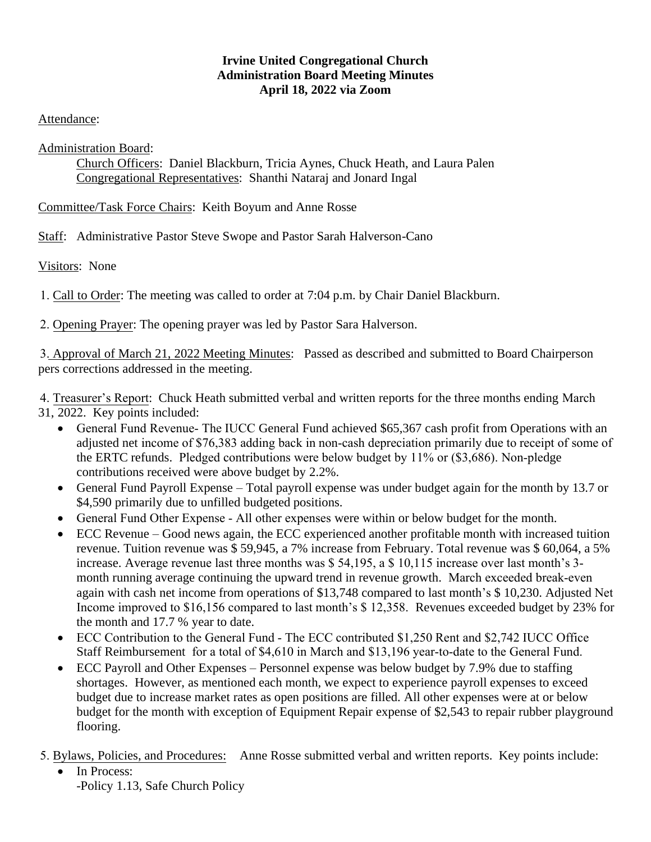## **Irvine United Congregational Church Administration Board Meeting Minutes April 18, 2022 via Zoom**

Attendance:

Administration Board:

Church Officers: Daniel Blackburn, Tricia Aynes, Chuck Heath, and Laura Palen Congregational Representatives: Shanthi Nataraj and Jonard Ingal

Committee/Task Force Chairs: Keith Boyum and Anne Rosse

Staff: Administrative Pastor Steve Swope and Pastor Sarah Halverson-Cano

Visitors: None

1. Call to Order: The meeting was called to order at 7:04 p.m. by Chair Daniel Blackburn.

2. Opening Prayer: The opening prayer was led by Pastor Sara Halverson.

3. Approval of March 21, 2022 Meeting Minutes: Passed as described and submitted to Board Chairperson pers corrections addressed in the meeting.

4. Treasurer's Report: Chuck Heath submitted verbal and written reports for the three months ending March 31, 2022. Key points included:

- General Fund Revenue- The IUCC General Fund achieved \$65,367 cash profit from Operations with an adjusted net income of \$76,383 adding back in non‐cash depreciation primarily due to receipt of some of the ERTC refunds. Pledged contributions were below budget by 11% or (\$3,686). Non‐pledge contributions received were above budget by 2.2%.
- General Fund Payroll Expense Total payroll expense was under budget again for the month by 13.7 or \$4,590 primarily due to unfilled budgeted positions.
- General Fund Other Expense All other expenses were within or below budget for the month.
- ECC Revenue Good news again, the ECC experienced another profitable month with increased tuition revenue. Tuition revenue was \$ 59,945, a 7% increase from February. Total revenue was \$ 60,064, a 5% increase. Average revenue last three months was \$54,195, a \$10,115 increase over last month's 3month running average continuing the upward trend in revenue growth. March exceeded break‐even again with cash net income from operations of \$13,748 compared to last month's \$ 10,230. Adjusted Net Income improved to \$16,156 compared to last month's \$ 12,358. Revenues exceeded budget by 23% for the month and 17.7 % year to date.
- ECC Contribution to the General Fund The ECC contributed \$1,250 Rent and \$2,742 IUCC Office Staff Reimbursement for a total of \$4,610 in March and \$13,196 year-to-date to the General Fund.
- ECC Payroll and Other Expenses Personnel expense was below budget by 7.9% due to staffing shortages. However, as mentioned each month, we expect to experience payroll expenses to exceed budget due to increase market rates as open positions are filled. All other expenses were at or below budget for the month with exception of Equipment Repair expense of \$2,543 to repair rubber playground flooring.
- 5. Bylaws, Policies, and Procedures: Anne Rosse submitted verbal and written reports. Key points include:
	- In Process: -Policy 1.13, Safe Church Policy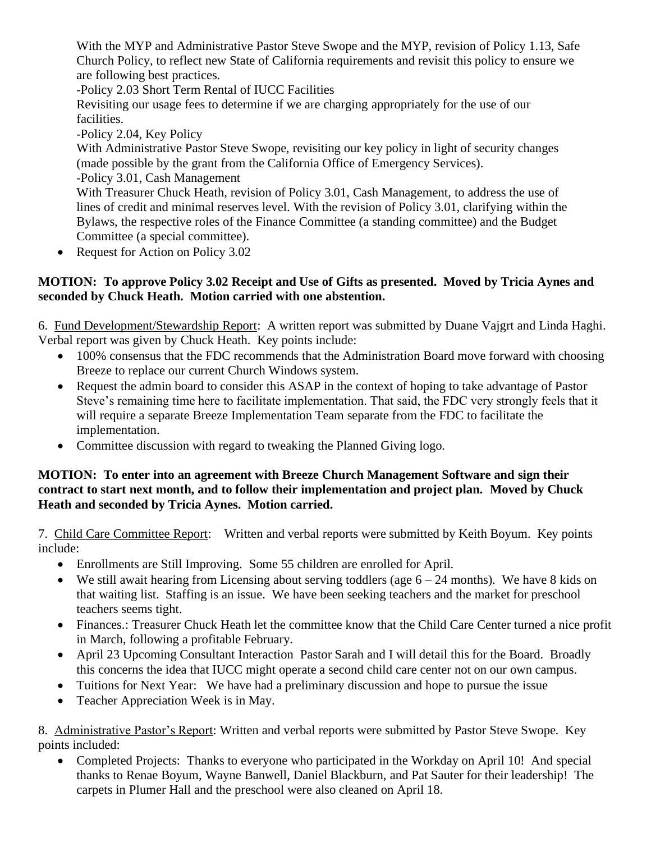With the MYP and Administrative Pastor Steve Swope and the MYP, revision of Policy 1.13, Safe Church Policy, to reflect new State of California requirements and revisit this policy to ensure we are following best practices.

-Policy 2.03 Short Term Rental of IUCC Facilities

Revisiting our usage fees to determine if we are charging appropriately for the use of our facilities.

-Policy 2.04, Key Policy

With Administrative Pastor Steve Swope, revisiting our key policy in light of security changes (made possible by the grant from the California Office of Emergency Services). -Policy 3.01, Cash Management

With Treasurer Chuck Heath, revision of Policy 3.01, Cash Management, to address the use of lines of credit and minimal reserves level. With the revision of Policy 3.01, clarifying within the Bylaws, the respective roles of the Finance Committee (a standing committee) and the Budget Committee (a special committee).

• Request for Action on Policy 3.02

## **MOTION: To approve Policy 3.02 Receipt and Use of Gifts as presented. Moved by Tricia Aynes and seconded by Chuck Heath. Motion carried with one abstention.**

6. Fund Development/Stewardship Report: A written report was submitted by Duane Vajgrt and Linda Haghi. Verbal report was given by Chuck Heath. Key points include:

- 100% consensus that the FDC recommends that the Administration Board move forward with choosing Breeze to replace our current Church Windows system.
- Request the admin board to consider this ASAP in the context of hoping to take advantage of Pastor Steve's remaining time here to facilitate implementation. That said, the FDC very strongly feels that it will require a separate Breeze Implementation Team separate from the FDC to facilitate the implementation.
- Committee discussion with regard to tweaking the Planned Giving logo.

#### **MOTION: To enter into an agreement with Breeze Church Management Software and sign their contract to start next month, and to follow their implementation and project plan. Moved by Chuck Heath and seconded by Tricia Aynes. Motion carried.**

7. Child Care Committee Report: Written and verbal reports were submitted by Keith Boyum. Key points include:

- Enrollments are Still Improving. Some 55 children are enrolled for April.
- We still await hearing from Licensing about serving toddlers (age  $6 24$  months). We have 8 kids on that waiting list. Staffing is an issue. We have been seeking teachers and the market for preschool teachers seems tight.
- Finances.: Treasurer Chuck Heath let the committee know that the Child Care Center turned a nice profit in March, following a profitable February.
- April 23 Upcoming Consultant Interaction Pastor Sarah and I will detail this for the Board. Broadly this concerns the idea that IUCC might operate a second child care center not on our own campus.
- Tuitions for Next Year: We have had a preliminary discussion and hope to pursue the issue
- Teacher Appreciation Week is in May.

8. Administrative Pastor's Report: Written and verbal reports were submitted by Pastor Steve Swope. Key points included:

• Completed Projects: Thanks to everyone who participated in the Workday on April 10! And special thanks to Renae Boyum, Wayne Banwell, Daniel Blackburn, and Pat Sauter for their leadership! The carpets in Plumer Hall and the preschool were also cleaned on April 18.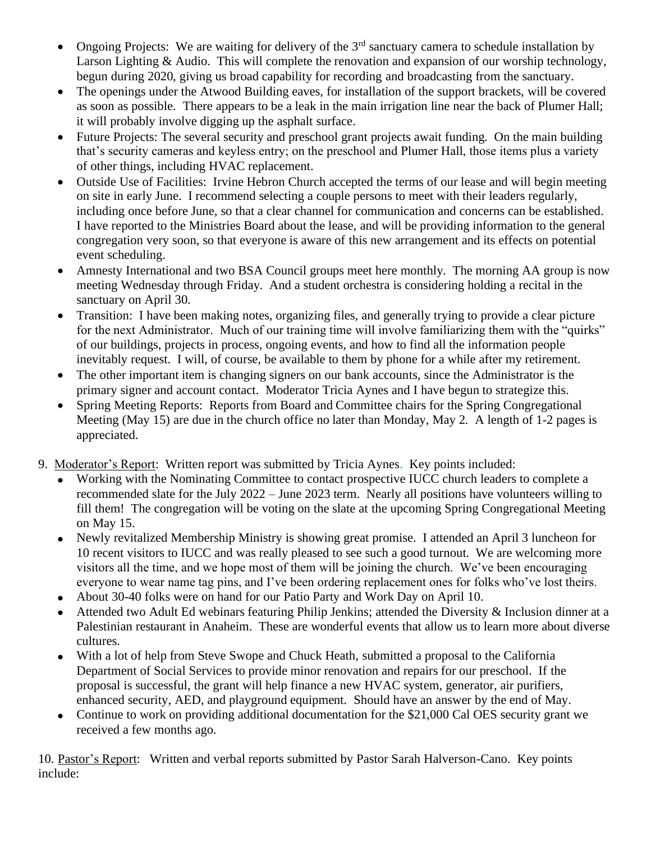- Ongoing Projects: We are waiting for delivery of the  $3<sup>rd</sup>$  sanctuary camera to schedule installation by Larson Lighting & Audio. This will complete the renovation and expansion of our worship technology, begun during 2020, giving us broad capability for recording and broadcasting from the sanctuary.
- The openings under the Atwood Building eaves, for installation of the support brackets, will be covered as soon as possible. There appears to be a leak in the main irrigation line near the back of Plumer Hall; it will probably involve digging up the asphalt surface.
- Future Projects: The several security and preschool grant projects await funding. On the main building that's security cameras and keyless entry; on the preschool and Plumer Hall, those items plus a variety of other things, including HVAC replacement.
- Outside Use of Facilities: Irvine Hebron Church accepted the terms of our lease and will begin meeting on site in early June. I recommend selecting a couple persons to meet with their leaders regularly, including once before June, so that a clear channel for communication and concerns can be established. I have reported to the Ministries Board about the lease, and will be providing information to the general congregation very soon, so that everyone is aware of this new arrangement and its effects on potential event scheduling.
- Amnesty International and two BSA Council groups meet here monthly. The morning AA group is now meeting Wednesday through Friday. And a student orchestra is considering holding a recital in the sanctuary on April 30.
- Transition: I have been making notes, organizing files, and generally trying to provide a clear picture for the next Administrator. Much of our training time will involve familiarizing them with the "quirks" of our buildings, projects in process, ongoing events, and how to find all the information people inevitably request. I will, of course, be available to them by phone for a while after my retirement.
- The other important item is changing signers on our bank accounts, since the Administrator is the primary signer and account contact. Moderator Tricia Aynes and I have begun to strategize this.
- Spring Meeting Reports: Reports from Board and Committee chairs for the Spring Congregational Meeting (May 15) are due in the church office no later than Monday, May 2. A length of 1-2 pages is appreciated.
- 9. Moderator's Report: Written report was submitted by Tricia Aynes. Key points included:
	- Working with the Nominating Committee to contact prospective IUCC church leaders to complete a recommended slate for the July 2022 – June 2023 term. Nearly all positions have volunteers willing to fill them! The congregation will be voting on the slate at the upcoming Spring Congregational Meeting on May 15.
	- Newly revitalized Membership Ministry is showing great promise. I attended an April 3 luncheon for 10 recent visitors to IUCC and was really pleased to see such a good turnout. We are welcoming more visitors all the time, and we hope most of them will be joining the church. We've been encouraging everyone to wear name tag pins, and I've been ordering replacement ones for folks who've lost theirs.
	- About 30-40 folks were on hand for our Patio Party and Work Day on April 10.
	- Attended two Adult Ed webinars featuring Philip Jenkins; attended the Diversity & Inclusion dinner at a Palestinian restaurant in Anaheim. These are wonderful events that allow us to learn more about diverse cultures.
	- With a lot of help from Steve Swope and Chuck Heath, submitted a proposal to the California Department of Social Services to provide minor renovation and repairs for our preschool. If the proposal is successful, the grant will help finance a new HVAC system, generator, air purifiers, enhanced security, AED, and playground equipment. Should have an answer by the end of May.
	- Continue to work on providing additional documentation for the \$21,000 Cal OES security grant we received a few months ago.

10. Pastor's Report: Written and verbal reports submitted by Pastor Sarah Halverson-Cano. Key points include: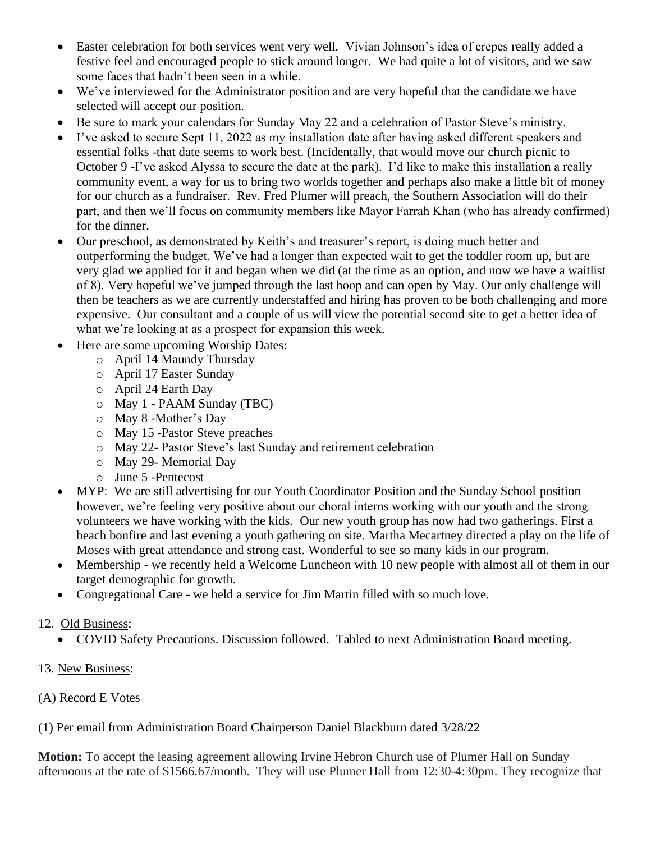- Easter celebration for both services went very well. Vivian Johnson's idea of crepes really added a festive feel and encouraged people to stick around longer. We had quite a lot of visitors, and we saw some faces that hadn't been seen in a while.
- We've interviewed for the Administrator position and are very hopeful that the candidate we have selected will accept our position.
- Be sure to mark your calendars for Sunday May 22 and a celebration of Pastor Steve's ministry.
- I've asked to secure Sept 11, 2022 as my installation date after having asked different speakers and essential folks -that date seems to work best. (Incidentally, that would move our church picnic to October 9 -I've asked Alyssa to secure the date at the park). I'd like to make this installation a really community event, a way for us to bring two worlds together and perhaps also make a little bit of money for our church as a fundraiser. Rev. Fred Plumer will preach, the Southern Association will do their part, and then we'll focus on community members like Mayor Farrah Khan (who has already confirmed) for the dinner.
- Our preschool, as demonstrated by Keith's and treasurer's report, is doing much better and outperforming the budget. We've had a longer than expected wait to get the toddler room up, but are very glad we applied for it and began when we did (at the time as an option, and now we have a waitlist of 8). Very hopeful we've jumped through the last hoop and can open by May. Our only challenge will then be teachers as we are currently understaffed and hiring has proven to be both challenging and more expensive. Our consultant and a couple of us will view the potential second site to get a better idea of what we're looking at as a prospect for expansion this week.
- Here are some upcoming Worship Dates:
	- o April 14 Maundy Thursday
	- o April 17 Easter Sunday
	- o April 24 Earth Day
	- o May 1 PAAM Sunday (TBC)
	- o May 8 -Mother's Day
	- o May 15 -Pastor Steve preaches
	- o May 22- Pastor Steve's last Sunday and retirement celebration
	- o May 29- Memorial Day
	- o June 5 -Pentecost
- MYP: We are still advertising for our Youth Coordinator Position and the Sunday School position however, we're feeling very positive about our choral interns working with our youth and the strong volunteers we have working with the kids. Our new youth group has now had two gatherings. First a beach bonfire and last evening a youth gathering on site. Martha Mecartney directed a play on the life of Moses with great attendance and strong cast. Wonderful to see so many kids in our program.
- Membership we recently held a Welcome Luncheon with 10 new people with almost all of them in our target demographic for growth.
- Congregational Care we held a service for Jim Martin filled with so much love.

# 12. Old Business:

• COVID Safety Precautions. Discussion followed. Tabled to next Administration Board meeting.

# 13. New Business:

# (A) Record E Votes

# (1) Per email from Administration Board Chairperson Daniel Blackburn dated 3/28/22

**Motion:** To accept the leasing agreement allowing Irvine Hebron Church use of Plumer Hall on Sunday afternoons at the rate of \$1566.67/month. They will use Plumer Hall from 12:30-4:30pm. They recognize that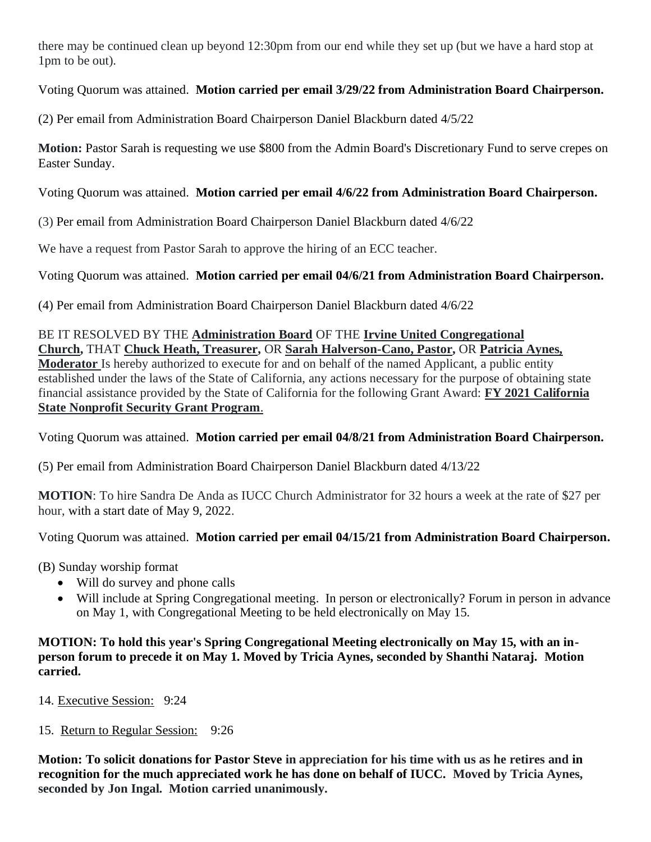there may be continued clean up beyond 12:30pm from our end while they set up (but we have a hard stop at 1pm to be out).

Voting Quorum was attained. **Motion carried per email 3/29/22 from Administration Board Chairperson.**

(2) Per email from Administration Board Chairperson Daniel Blackburn dated 4/5/22

**Motion:** Pastor Sarah is requesting we use \$800 from the Admin Board's Discretionary Fund to serve crepes on Easter Sunday.

Voting Quorum was attained. **Motion carried per email 4/6/22 from Administration Board Chairperson.**

(3) Per email from Administration Board Chairperson Daniel Blackburn dated 4/6/22

We have a request from Pastor Sarah to approve the hiring of an ECC teacher.

Voting Quorum was attained. **Motion carried per email 04/6/21 from Administration Board Chairperson.**

(4) Per email from Administration Board Chairperson Daniel Blackburn dated 4/6/22

BE IT RESOLVED BY THE **Administration Board** OF THE **Irvine United Congregational Church,** THAT **Chuck Heath, Treasurer,** OR **Sarah Halverson-Cano, Pastor,** OR **Patricia Aynes, Moderator** Is hereby authorized to execute for and on behalf of the named Applicant, a public entity established under the laws of the State of California, any actions necessary for the purpose of obtaining state financial assistance provided by the State of California for the following Grant Award: **FY 2021 California State Nonprofit Security Grant Program**.

Voting Quorum was attained. **Motion carried per email 04/8/21 from Administration Board Chairperson.**

(5) Per email from Administration Board Chairperson Daniel Blackburn dated 4/13/22

**MOTION**: To hire Sandra De Anda as IUCC Church Administrator for 32 hours a week at the rate of \$27 per hour, with a start date of May 9, 2022.

Voting Quorum was attained. **Motion carried per email 04/15/21 from Administration Board Chairperson.**

(B) Sunday worship format

- Will do survey and phone calls
- Will include at Spring Congregational meeting. In person or electronically? Forum in person in advance on May 1, with Congregational Meeting to be held electronically on May 15.

**MOTION: To hold this year's Spring Congregational Meeting electronically on May 15, with an inperson forum to precede it on May 1. Moved by Tricia Aynes, seconded by Shanthi Nataraj. Motion carried.**

- 14. Executive Session: 9:24
- 15. Return to Regular Session: 9:26

**Motion: To solicit donations for Pastor Steve in appreciation for his time with us as he retires and in recognition for the much appreciated work he has done on behalf of IUCC. Moved by Tricia Aynes, seconded by Jon Ingal. Motion carried unanimously.**